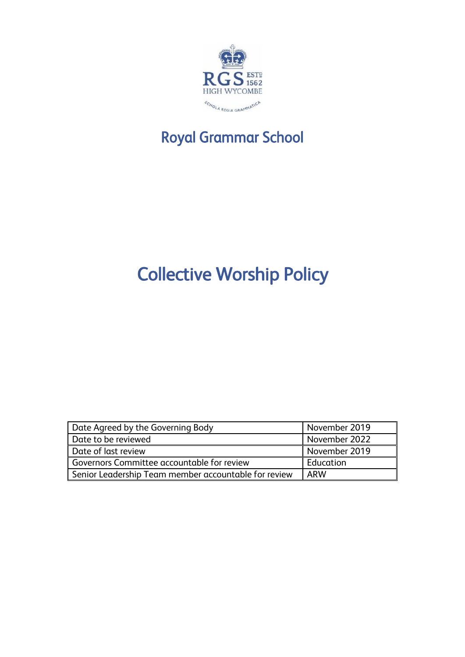

## Royal Grammar School

# Collective Worship Policy

| Date Agreed by the Governing Body                    | November 2019    |
|------------------------------------------------------|------------------|
| Date to be reviewed                                  | November 2022    |
| Date of last review                                  | November 2019    |
| Governors Committee accountable for review           | <b>Education</b> |
| Senior Leadership Team member accountable for review | ARW              |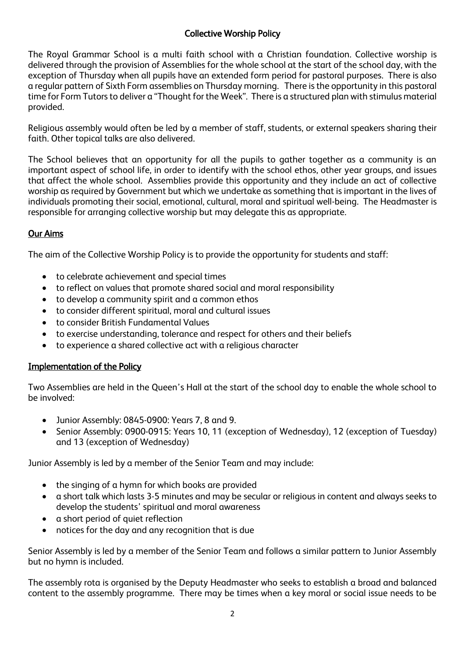### Collective Worship Policy

The Royal Grammar School is a multi faith school with a Christian foundation. Collective worship is delivered through the provision of Assemblies for the whole school at the start of the school day, with the exception of Thursday when all pupils have an extended form period for pastoral purposes. There is also a regular pattern of Sixth Form assemblies on Thursday morning. There is the opportunity in this pastoral time for Form Tutors to deliver a "Thought for the Week". There is a structured plan with stimulus material provided.

Religious assembly would often be led by a member of staff, students, or external speakers sharing their faith. Other topical talks are also delivered.

The School believes that an opportunity for all the pupils to gather together as a community is an important aspect of school life, in order to identify with the school ethos, other year groups, and issues that affect the whole school. Assemblies provide this opportunity and they include an act of collective worship as required by Government but which we undertake as something that is important in the lives of individuals promoting their social, emotional, cultural, moral and spiritual well-being. The Headmaster is responsible for arranging collective worship but may delegate this as appropriate.

### Our Aims

The aim of the Collective Worship Policy is to provide the opportunity for students and staff:

- to celebrate achievement and special times
- to reflect on values that promote shared social and moral responsibility
- to develop a community spirit and a common ethos
- to consider different spiritual, moral and cultural issues
- to consider British Fundamental Values
- to exercise understanding, tolerance and respect for others and their beliefs
- to experience a shared collective act with a religious character

### Implementation of the Policy

Two Assemblies are held in the Queen's Hall at the start of the school day to enable the whole school to be involved:

- Junior Assembly: 0845-0900: Years 7, 8 and 9.
- Senior Assembly: 0900-0915: Years 10, 11 (exception of Wednesday), 12 (exception of Tuesday) and 13 (exception of Wednesday)

Junior Assembly is led by a member of the Senior Team and may include:

- the singing of a hymn for which books are provided
- a short talk which lasts 3-5 minutes and may be secular or religious in content and always seeks to develop the students' spiritual and moral awareness
- a short period of quiet reflection
- notices for the day and any recognition that is due

Senior Assembly is led by a member of the Senior Team and follows a similar pattern to Junior Assembly but no hymn is included.

The assembly rota is organised by the Deputy Headmaster who seeks to establish a broad and balanced content to the assembly programme. There may be times when a key moral or social issue needs to be